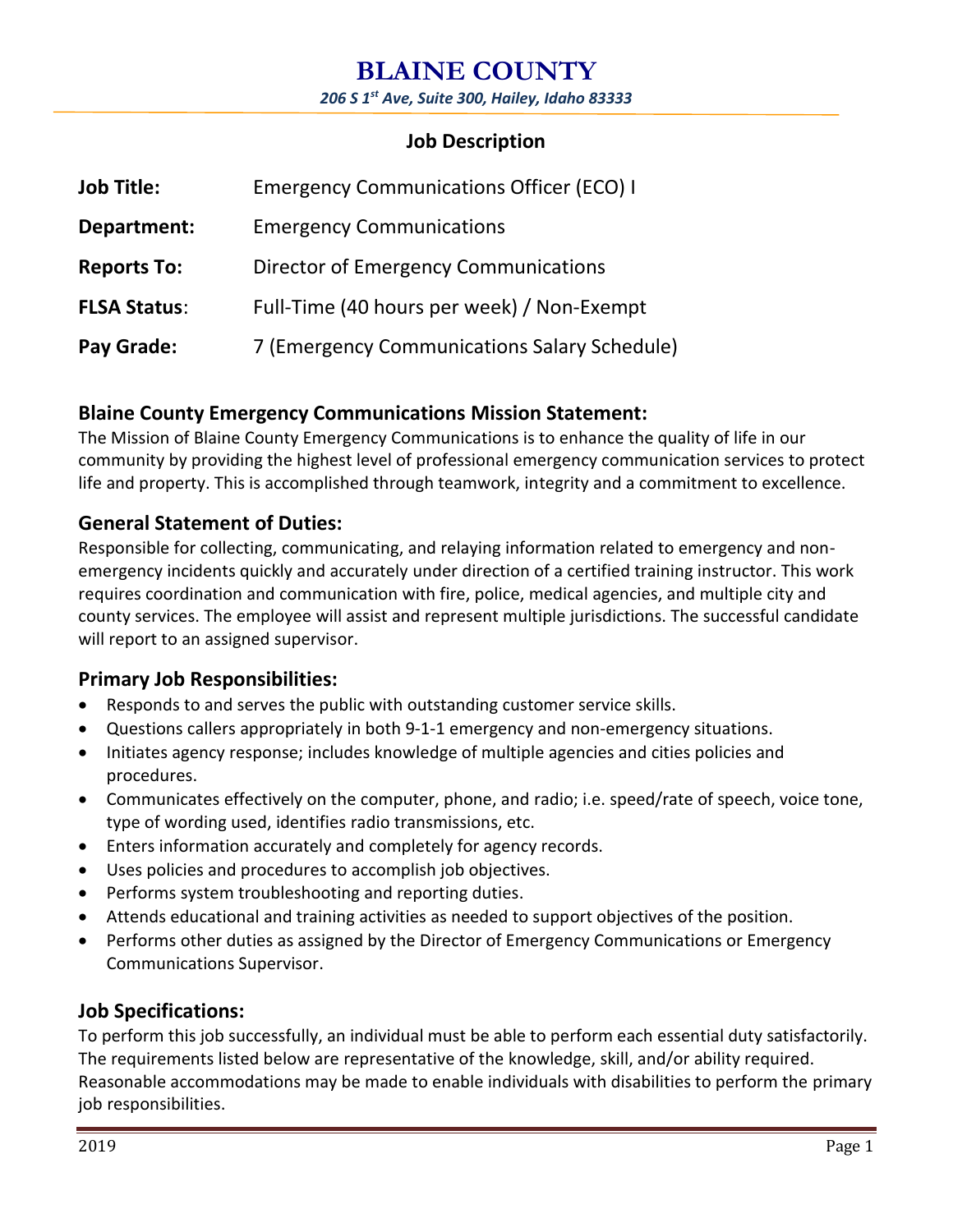# **BLAINE COUNTY**

*206 S 1st Ave, Suite 300, Hailey, Idaho 83333*

# **Job Description**

| <b>Job Title:</b>   | <b>Emergency Communications Officer (ECO) I</b> |
|---------------------|-------------------------------------------------|
| Department:         | <b>Emergency Communications</b>                 |
| <b>Reports To:</b>  | Director of Emergency Communications            |
| <b>FLSA Status:</b> | Full-Time (40 hours per week) / Non-Exempt      |
| <b>Pay Grade:</b>   | 7 (Emergency Communications Salary Schedule)    |

## **Blaine County Emergency Communications Mission Statement:**

The Mission of Blaine County Emergency Communications is to enhance the quality of life in our community by providing the highest level of professional emergency communication services to protect life and property. This is accomplished through teamwork, integrity and a commitment to excellence.

# **General Statement of Duties:**

Responsible for collecting, communicating, and relaying information related to emergency and nonemergency incidents quickly and accurately under direction of a certified training instructor. This work requires coordination and communication with fire, police, medical agencies, and multiple city and county services. The employee will assist and represent multiple jurisdictions. The successful candidate will report to an assigned supervisor.

# **Primary Job Responsibilities:**

- Responds to and serves the public with outstanding customer service skills.
- Questions callers appropriately in both 9-1-1 emergency and non-emergency situations.
- Initiates agency response; includes knowledge of multiple agencies and cities policies and procedures.
- Communicates effectively on the computer, phone, and radio; i.e. speed/rate of speech, voice tone, type of wording used, identifies radio transmissions, etc.
- Enters information accurately and completely for agency records.
- Uses policies and procedures to accomplish job objectives.
- Performs system troubleshooting and reporting duties.
- Attends educational and training activities as needed to support objectives of the position.
- Performs other duties as assigned by the Director of Emergency Communications or Emergency Communications Supervisor.

# **Job Specifications:**

To perform this job successfully, an individual must be able to perform each essential duty satisfactorily. The requirements listed below are representative of the knowledge, skill, and/or ability required. Reasonable accommodations may be made to enable individuals with disabilities to perform the primary job responsibilities.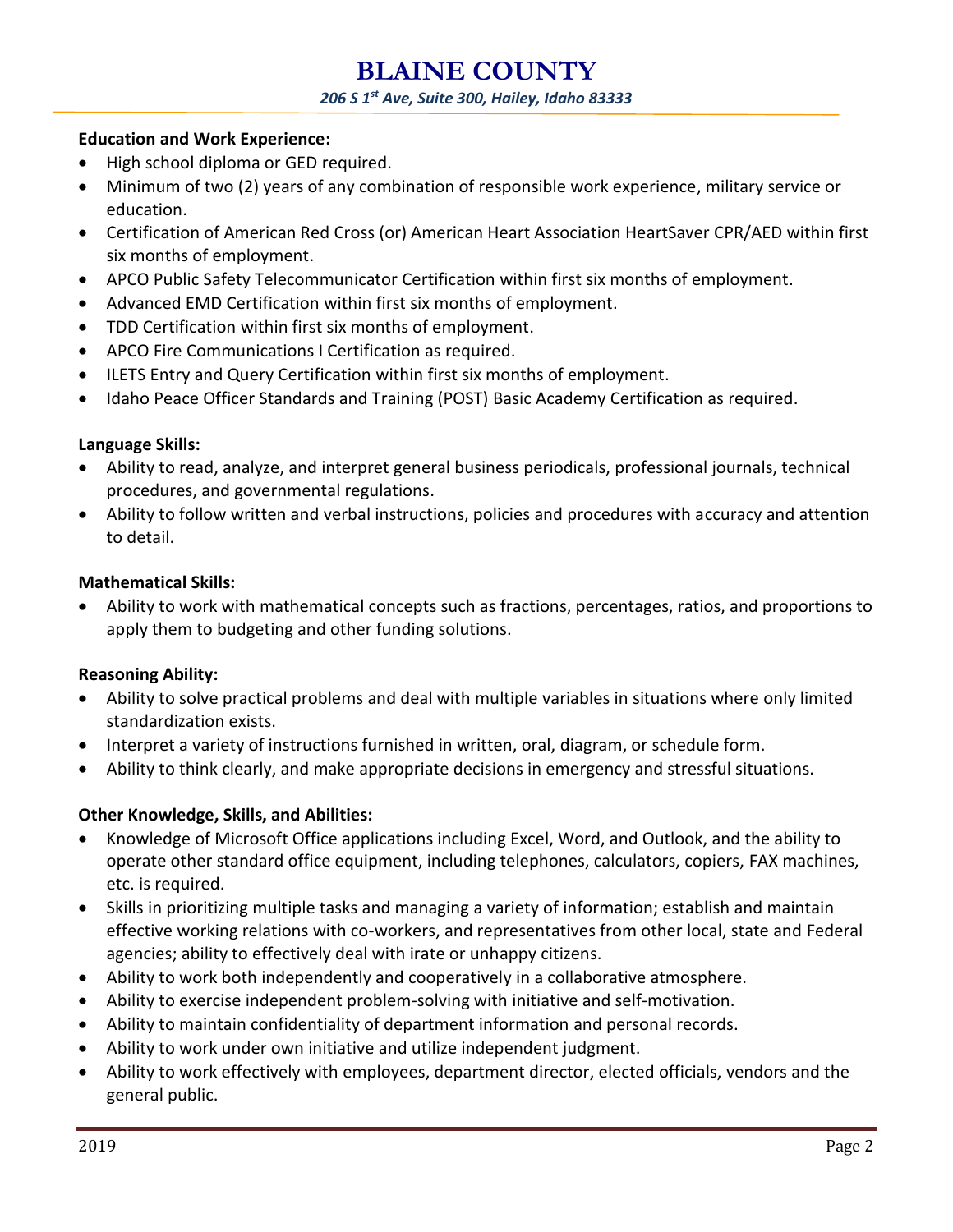# **BLAINE COUNTY**

#### *206 S 1st Ave, Suite 300, Hailey, Idaho 83333*

#### **Education and Work Experience:**

- High school diploma or GED required.
- Minimum of two (2) years of any combination of responsible work experience, military service or education.
- Certification of American Red Cross (or) American Heart Association HeartSaver CPR/AED within first six months of employment.
- APCO Public Safety Telecommunicator Certification within first six months of employment.
- Advanced EMD Certification within first six months of employment.
- TDD Certification within first six months of employment.
- APCO Fire Communications I Certification as required.
- ILETS Entry and Query Certification within first six months of employment.
- Idaho Peace Officer Standards and Training (POST) Basic Academy Certification as required.

## **Language Skills:**

- Ability to read, analyze, and interpret general business periodicals, professional journals, technical procedures, and governmental regulations.
- Ability to follow written and verbal instructions, policies and procedures with accuracy and attention to detail.

#### **Mathematical Skills:**

 Ability to work with mathematical concepts such as fractions, percentages, ratios, and proportions to apply them to budgeting and other funding solutions.

## **Reasoning Ability:**

- Ability to solve practical problems and deal with multiple variables in situations where only limited standardization exists.
- Interpret a variety of instructions furnished in written, oral, diagram, or schedule form.
- Ability to think clearly, and make appropriate decisions in emergency and stressful situations.

## **Other Knowledge, Skills, and Abilities:**

- Knowledge of Microsoft Office applications including Excel, Word, and Outlook, and the ability to operate other standard office equipment, including telephones, calculators, copiers, FAX machines, etc. is required.
- Skills in prioritizing multiple tasks and managing a variety of information; establish and maintain effective working relations with co-workers, and representatives from other local, state and Federal agencies; ability to effectively deal with irate or unhappy citizens.
- Ability to work both independently and cooperatively in a collaborative atmosphere.
- Ability to exercise independent problem-solving with initiative and self-motivation.
- Ability to maintain confidentiality of department information and personal records.
- Ability to work under own initiative and utilize independent judgment.
- Ability to work effectively with employees, department director, elected officials, vendors and the general public.